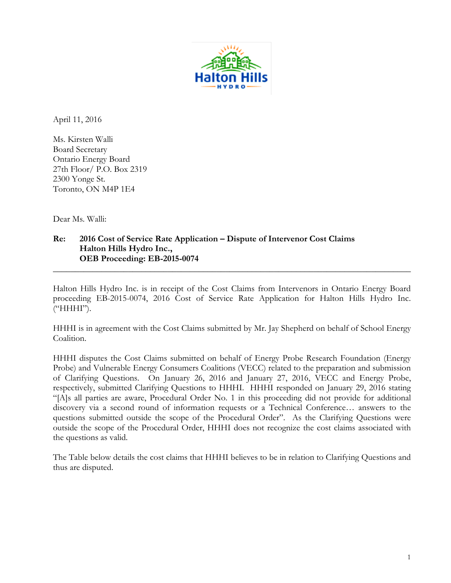

April 11, 2016

Ms. Kirsten Walli Board Secretary Ontario Energy Board 27th Floor/ P.O. Box 2319 2300 Yonge St. Toronto, ON M4P 1E4

Dear Ms. Walli:

## **Re: 2016 Cost of Service Rate Application – Dispute of Intervenor Cost Claims Halton Hills Hydro Inc., OEB Proceeding: EB-2015-0074**

Halton Hills Hydro Inc. is in receipt of the Cost Claims from Intervenors in Ontario Energy Board proceeding EB-2015-0074, 2016 Cost of Service Rate Application for Halton Hills Hydro Inc. ("HHHI").

**\_\_\_\_\_\_\_\_\_\_\_\_\_\_\_\_\_\_\_\_\_\_\_\_\_\_\_\_\_\_\_\_\_\_\_\_\_\_\_\_\_\_\_\_\_\_\_\_\_\_\_\_\_\_\_\_\_\_\_\_\_\_\_\_\_\_\_\_\_\_\_\_\_\_\_\_\_\_\_\_\_**

HHHI is in agreement with the Cost Claims submitted by Mr. Jay Shepherd on behalf of School Energy Coalition.

HHHI disputes the Cost Claims submitted on behalf of Energy Probe Research Foundation (Energy Probe) and Vulnerable Energy Consumers Coalitions (VECC) related to the preparation and submission of Clarifying Questions. On January 26, 2016 and January 27, 2016, VECC and Energy Probe, respectively, submitted Clarifying Questions to HHHI. HHHI responded on January 29, 2016 stating "[A]s all parties are aware, Procedural Order No. 1 in this proceeding did not provide for additional discovery via a second round of information requests or a Technical Conference… answers to the questions submitted outside the scope of the Procedural Order". As the Clarifying Questions were outside the scope of the Procedural Order, HHHI does not recognize the cost claims associated with the questions as valid.

The Table below details the cost claims that HHHI believes to be in relation to Clarifying Questions and thus are disputed.